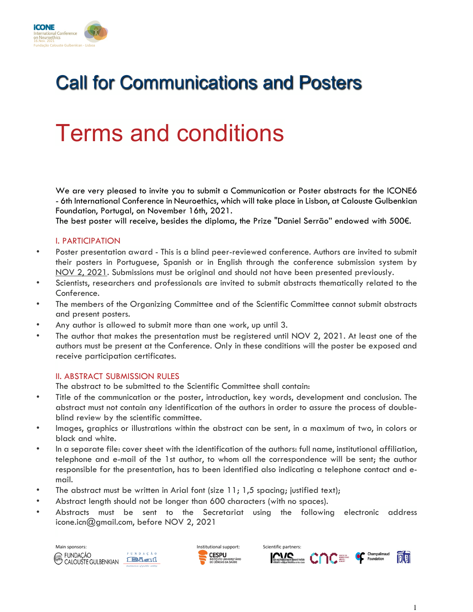

## Call for Communications and Posters

# Terms and conditions

We are very pleased to invite you to submit a Communication or Poster abstracts for the ICONE6 - 6th International Conference in Neuroethics, which will take place in Lisbon, at Calouste Gulbenkian Foundation, Portugal, on November 16th, 2021.

The best poster will receive, besides the diploma, the Prize "Daniel Serrão" endowed with 500€.

### I. PARTICIPATION

- Poster presentation award This is a blind peer-reviewed conference. Authors are invited to submit their posters in Portuguese, Spanish or in English through the conference submission system by NOV 2, 2021. Submissions must be original and should not have been presented previously.
- Scientists, researchers and professionals are invited to submit abstracts thematically related to the Conference.
- The members of the Organizing Committee and of the Scientific Committee cannot submit abstracts and present posters.
- Any author is allowed to submit more than one work, up until 3.
- The author that makes the presentation must be registered until NOV 2, 2021. At least one of the authors must be present at the Conference. Only in these conditions will the poster be exposed and receive participation certificates.

### II. ABSTRACT SUBMISSION RULES

The abstract to be submitted to the Scientific Committee shall contain:

- Title of the communication or the poster, introduction, key words, development and conclusion. The abstract must not contain any identification of the authors in order to assure the process of doubleblind review by the scientific committee.
- Images, graphics or illustrations within the abstract can be sent, in a maximum of two, in colors or black and white.
- In a separate file: cover sheet with the identification of the authors: full name, institutional affiliation, telephone and e-mail of the 1st author, to whom all the correspondence will be sent; the author responsible for the presentation, has to been identified also indicating a telephone contact and email.
- The abstract must be written in Arial font (size  $11; 1,5$  spacing; justified text);
- Abstract length should not be longer than 600 characters (with no spaces).
- Abstracts must be sent to the Secretariat using the following electronic address icone.icn@gmail.com, before NOV 2, 2021